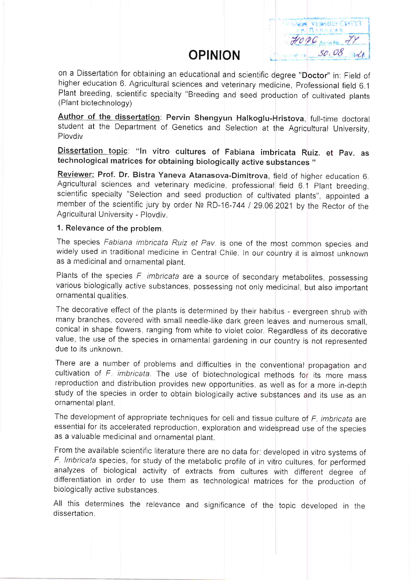# **OPINION**

 $\sqrt{1 - \frac{1}{2} \sqrt{1 - \frac{1}{2} \sqrt{1 - \frac{1}{2} \sqrt{1 - \frac{1}{2} \sqrt{1 - \frac{1}{2} \sqrt{1 - \frac{1}{2} \sqrt{1 - \frac{1}{2} \sqrt{1 - \frac{1}{2} \sqrt{1 - \frac{1}{2} \sqrt{1 - \frac{1}{2} \sqrt{1 - \frac{1}{2} \sqrt{1 - \frac{1}{2} \sqrt{1 - \frac{1}{2} \sqrt{1 - \frac{1}{2} \sqrt{1 - \frac{1}{2} \sqrt{1 - \frac{1}{2} \sqrt{1 - \frac{1}{2} \sqrt{1 - \frac{1}{2} \sqrt{1$  $HOPG_{\text{A}}$  $30.08$  of

on a Dissertation for obtaining an educational and scientific degree "Doctor" in: Field of higher education 6. Agricultural sciences and veterinary medicine, Professional field 6.1 Plant breeding, scientific specialty "Breeding and seed production of cultivated plants (Plant biotechnology)

Author of the dissertation: Pervin Shengyun Halkoglu-Hristova, full-time doctoral student at the Department of Genetics and Selection at the Agricultural University, Plovdiv

Dissertation topic: "In vitro cultures of Fabiana imbricata Ruiz. et Pav. as technological matrices for obtaining biologically active substances "

Reviewer: Prof. Dr. Bistra Yaneva Atanasova-Dimitrova, field of higher education 6. Agricultural sciences and veterinary medicine, professional field 6.1 Plant breeding, scientific specialty "Selection and seed production of cultivated plants", appointed a member of the scientific jury by order Nº RD-16-744 / 29.06.2021 by the Rector of the Agricultural University - Plovdiv.

#### 1. Relevance of the problem.

The species Fabiana imbricata Ruiz et Pav. is one of the most common species and widely used in traditional medicine in Central Chile. In our country it is almost unknown as a medicinal and ornamental plant.

Plants of the species F, imbricata are a source of secondary metabolites, possessing various biologically active substances, possessing not only medicinal, but also important ornamental qualities.

The decorative effect of the plants is determined by their habitus - evergreen shrub with many branches, covered with small needle-like dark green leaves and numerous small, conical in shape flowers, ranging from white to violet color. Regardless of its decorative value, the use of the species in ornamental gardening in our country is not represented due to its unknown.

There are a number of problems and difficulties in the conventional propagation and cultivation of F. imbricata. The use of biotechnological methods for its more mass reproduction and distribution provides new opportunities, as well as for a more in-depth study of the species in order to obtain biologically active substances and its use as an ornamental plant.

The development of appropriate techniques for cell and tissue culture of F. imbricata are essential for its accelerated reproduction, exploration and widespread use of the species as a valuable medicinal and ornamental plant.

From the available scientific literature there are no data for: developed in vitro systems of F. Imbricata species, for study of the metabolic profile of in vitro cultures, for performed analyzes of biological activity of extracts from cultures with different degree of differentiation in order to use them as technological matrices for the production of biologically active substances.

All this determines the relevance and significance of the topic developed in the dissertation.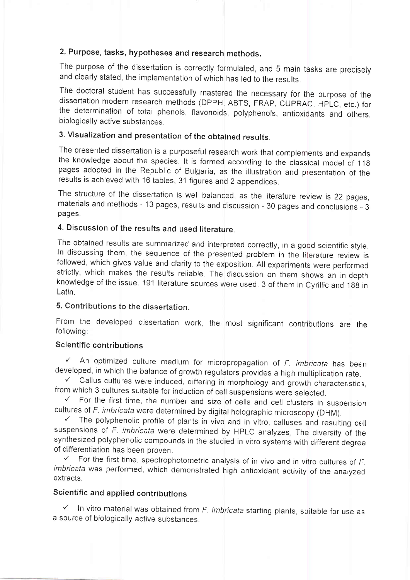# 2. Purpose, tasks, hypotheses and research methods,

The purpose of the dissertation is correctly formulated, and 5 main tasks are precisely and clearly stated, the implementation of which has led to the results.

The doctoral student has successfully mastered the necessary for the purpose of the dissertation modern research methods (DPPH, ABTS, FRAP, CUPRAC, HPLC, etc.) for the determination of total phenols, flavonoids, polyphenol biologically active substances.

# 3. Visualization and presentation of the obtained results.

The presented dissertation is a purposeful research work that complements and expands the knowledge about the species. It is formed according to the classical model of 118 pages adopted in the Republic of Bulgaria, as the illustration and presentation of the results is achieved with 16 tables, 31 figures and 2 appendices.

The structure of the dissertation is well balanced, as the literature review is 22 pages, materials and methods - 13 pages, results and discussion - 30 pages and conclusions - 3 pages.

# 4. Discussion of the results and used literature.

The obtained results are summarized and interpreted correctly, in a good scientific style. In discussing them, the sequence of the presented problem in the literature review is followed, which gives value and clarity to the exposition. All experiments were performed strictly, which makes the results reliable. The discussion on them shows an in-depth knowledge of the issue. 191 literature sources were used, 3 of them in Cyrillic and 188 in Latin.

### 5. Contributions to the dissertation.

From the developed dissertation work, the most significant contributions are the followino:

### Scientific contributions

 $\checkmark$  An optimized culture medium for micropropagation of F. imbricata has been developed, in which the balance of growth regulators provides a high multiplication rate.

 $\checkmark$  Callus cultures were induced, differing in morphology and growth characteristics, from which 3 cultures suitable for induction of cell suspensions were selected.

 $\checkmark$  For the first time, the number and size of cells and cell clusters in suspension cultures of *F. imbricata* were determined by digital holographic microscopy (DHM).

 $V$  The polyphenolic profile of plants in vivo and in vitro, calluses and resulting cell suspensions of F. imbricata were determined by HPLC analyzes. The diversity of the synthesized polyphenolic compounds in the studied in vitro systems with different degree of differentiation has been proven.

 $\checkmark$  For the first time, spectrophotometric analysis of in vivo and in vitro cultures of  $f$ . imbricata was performed, which demonstrated high antioxidant activity of the analyzed extracts.

#### Scientific and applied contributions

 $\checkmark$  In vitro material was obtained from F. Imbricata starting plants, suitable for use as a source of biologically active substances.